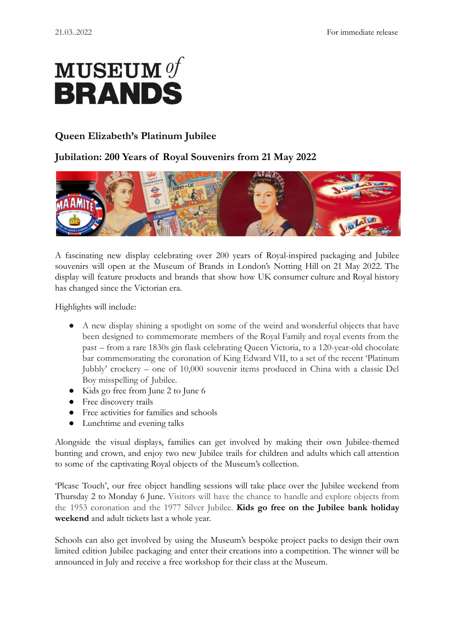# ${\bf MUSEUM\,} of$ **BRANDS**

## **Queen Elizabeth's Platinum Jubilee**

## **Jubilation: 200 Years of Royal Souvenirs from 21 May 2022**



A fascinating new display celebrating over 200 years of Royal-inspired packaging and Jubilee souvenirs will open at the Museum of Brands in London's Notting Hill on 21 May 2022. The display will feature products and brands that show how UK consumer culture and Royal history has changed since the Victorian era.

Highlights will include:

- A new display shining a spotlight on some of the weird and wonderful objects that have been designed to commemorate members of the Royal Family and royal events from the past – from a rare 1830s gin flask celebrating Queen Victoria, to a 120-year-old chocolate bar commemorating the coronation of King Edward VII, to a set of the recent 'Platinum Jubbly' crockery – one of 10,000 souvenir items produced in China with a classic Del Boy misspelling of Jubilee.
- Kids go free from June 2 to June 6
- Free discovery trails
- Free activities for families and schools
- Lunchtime and evening talks

Alongside the visual displays, families can get involved by making their own Jubilee-themed bunting and crown, and enjoy two new Jubilee trails for children and adults which call attention to some of the captivating Royal objects of the Museum's collection.

'Please Touch', our free object handling sessions will take place over the Jubilee weekend from Thursday 2 to Monday 6 June. Visitors will have the chance to handle and explore objects from the 1953 coronation and the 1977 Silver Jubilee. **Kids go free on the Jubilee bank holiday weekend** and adult tickets last a whole year.

Schools can also get involved by using the Museum's bespoke project packs to design their own limited edition Jubilee packaging and enter their creations into a competition. The winner will be announced in July and receive a free workshop for their class at the Museum.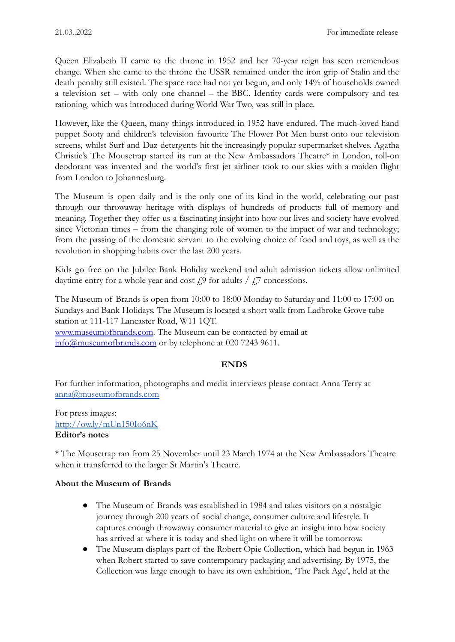Queen Elizabeth II came to the throne in 1952 and her 70-year reign has seen tremendous change. When she came to the throne the USSR remained under the iron grip of Stalin and the death penalty still existed. The space race had not yet begun, and only 14% of households owned a television set – with only one channel – the BBC. Identity cards were compulsory and tea rationing, which was introduced during World War Two, was still in place.

However, like the Queen, many things introduced in 1952 have endured. The much-loved hand puppet Sooty and children's television favourite The Flower Pot Men burst onto our television screens, whilst Surf and Daz detergents hit the increasingly popular supermarket shelves. Agatha Christie's The Mousetrap started its run at the New [Ambassadors](https://en.wikipedia.org/wiki/Ambassadors_Theatre_(London)) Theatre\* in London, roll-on deodorant was invented and the world's first jet airliner took to our skies with a maiden flight from London to [Johannesburg.](https://en.wikipedia.org/wiki/Johannesburg)

The Museum is open daily and is the only one of its kind in the world, celebrating our past through our throwaway heritage with displays of hundreds of products full of memory and meaning. Together they offer us a fascinating insight into how our lives and society have evolved since Victorian times – from the changing role of women to the impact of war and technology; from the passing of the domestic servant to the evolving choice of food and toys, as well as the revolution in shopping habits over the last 200 years.

Kids go free on the Jubilee Bank Holiday weekend and adult admission tickets allow unlimited daytime entry for a whole year and cost  $\zeta$ <sup>9</sup> for adults /  $\zeta$ <sup>7</sup> concessions.

The Museum of Brands is open from 10:00 to 18:00 Monday to Saturday and 11:00 to 17:00 on Sundays and Bank Holidays. The Museum is located a short walk from Ladbroke Grove tube station at 111-117 Lancaster Road, W11 1QT. [www.museumofbrands.com.](http://www.museumofbrands.com) The Museum can be contacted by email at [info@museumofbrands.com](mailto:info@museumofbrands.com) or by telephone at 020 7243 9611.

### **ENDS**

For further information, photographs and media interviews please contact Anna Terry at [anna@museumofbrands.com](mailto:anna@museumofbrands.com)

For press images: <http://ow.ly/mUn150Io6nK> **Editor's notes**

\* The Mousetrap ran from 25 November until 23 March 1974 at the [New Ambassadors Theatre](https://en.wikipedia.org/wiki/Ambassadors_Theatre_(London)) when it transferred to the larger [St Martin's Theatre](https://en.wikipedia.org/wiki/St_Martin%27s_Theatre).

### **About the Museum of Brands**

- The Museum of Brands was established in 1984 and takes visitors on a nostalgic journey through 200 years of social change, consumer culture and lifestyle. It captures enough throwaway consumer material to give an insight into how society has arrived at where it is today and shed light on where it will be tomorrow.
- The Museum displays part of the Robert Opie Collection, which had begun in 1963 when Robert started to save contemporary packaging and advertising. By 1975, the Collection was large enough to have its own exhibition, 'The Pack Age', held at the